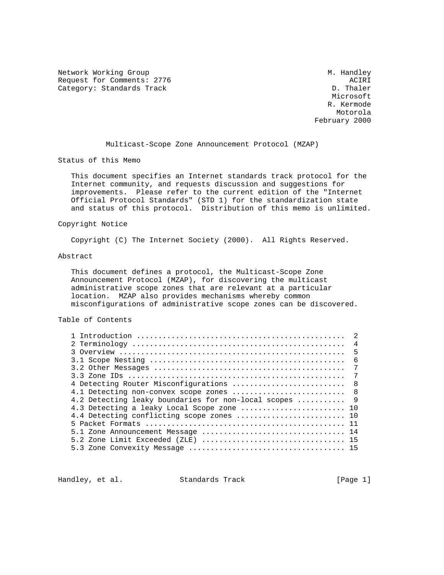Network Working Group Methods and Muslim Muslim Muslim Muslim Muslim Muslim Muslim Muslim Muslim Muslim Muslim Request for Comments: 2776 ACIRI<br>Category: Standards Track Acies Acies Acies Acies Acies Acies Acies Acies Acies Acies Acies Acies Acies Acies Category: Standards Track

 Microsoft R. Kermode Motorola February 2000

Multicast-Scope Zone Announcement Protocol (MZAP)

Status of this Memo

 This document specifies an Internet standards track protocol for the Internet community, and requests discussion and suggestions for improvements. Please refer to the current edition of the "Internet Official Protocol Standards" (STD 1) for the standardization state and status of this protocol. Distribution of this memo is unlimited.

### Copyright Notice

Copyright (C) The Internet Society (2000). All Rights Reserved.

### Abstract

 This document defines a protocol, the Multicast-Scope Zone Announcement Protocol (MZAP), for discovering the multicast administrative scope zones that are relevant at a particular location. MZAP also provides mechanisms whereby common misconfigurations of administrative scope zones can be discovered.

# Table of Contents

|                                                        | $\overline{2}$ |
|--------------------------------------------------------|----------------|
|                                                        |                |
|                                                        | $\overline{4}$ |
|                                                        | - 5            |
|                                                        | $\sqrt{2}$     |
|                                                        | 7              |
|                                                        | 7              |
| 4 Detecting Router Misconfigurations                   | $\overline{8}$ |
| 4.1 Detecting non-convex scope zones  8                |                |
| 4.2 Detecting leaky boundaries for non-local scopes  9 |                |
| 4.3 Detecting a leaky Local Scope zone  10             |                |
| 4.4 Detecting conflicting scope zones  10              |                |
|                                                        |                |
|                                                        |                |
|                                                        |                |
|                                                        |                |

Handley, et al. Standards Track [Page 1]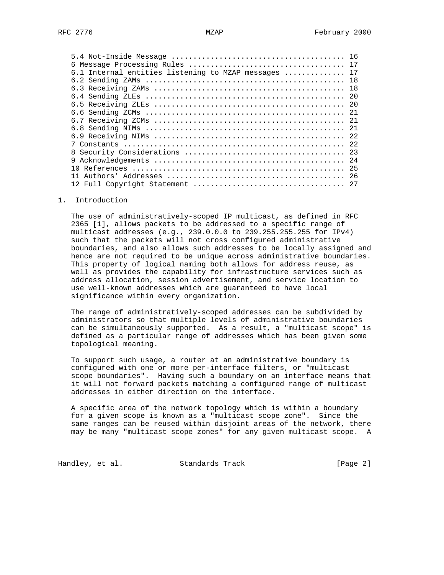| 6.1 Internal entities listening to MZAP messages  17 |  |
|------------------------------------------------------|--|
|                                                      |  |
|                                                      |  |
|                                                      |  |
|                                                      |  |
|                                                      |  |
|                                                      |  |
|                                                      |  |
|                                                      |  |
|                                                      |  |
|                                                      |  |
| 9                                                    |  |
|                                                      |  |
|                                                      |  |
|                                                      |  |
|                                                      |  |

## 1. Introduction

 The use of administratively-scoped IP multicast, as defined in RFC 2365 [1], allows packets to be addressed to a specific range of multicast addresses (e.g., 239.0.0.0 to 239.255.255.255 for IPv4) such that the packets will not cross configured administrative boundaries, and also allows such addresses to be locally assigned and hence are not required to be unique across administrative boundaries. This property of logical naming both allows for address reuse, as well as provides the capability for infrastructure services such as address allocation, session advertisement, and service location to use well-known addresses which are guaranteed to have local significance within every organization.

 The range of administratively-scoped addresses can be subdivided by administrators so that multiple levels of administrative boundaries can be simultaneously supported. As a result, a "multicast scope" is defined as a particular range of addresses which has been given some topological meaning.

 To support such usage, a router at an administrative boundary is configured with one or more per-interface filters, or "multicast scope boundaries". Having such a boundary on an interface means that it will not forward packets matching a configured range of multicast addresses in either direction on the interface.

 A specific area of the network topology which is within a boundary for a given scope is known as a "multicast scope zone". Since the same ranges can be reused within disjoint areas of the network, there may be many "multicast scope zones" for any given multicast scope. A

Handley, et al. Standards Track [Page 2]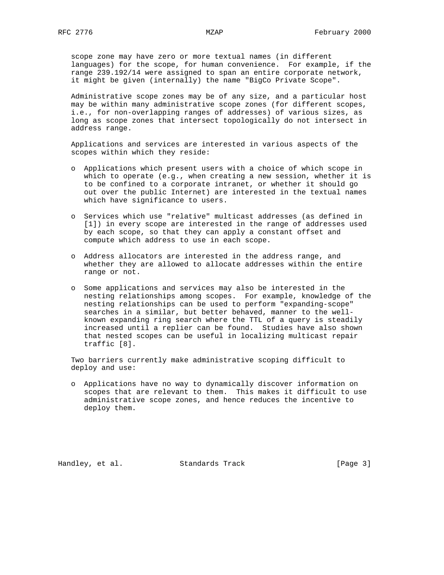scope zone may have zero or more textual names (in different languages) for the scope, for human convenience. For example, if the range 239.192/14 were assigned to span an entire corporate network, it might be given (internally) the name "BigCo Private Scope".

 Administrative scope zones may be of any size, and a particular host may be within many administrative scope zones (for different scopes, i.e., for non-overlapping ranges of addresses) of various sizes, as long as scope zones that intersect topologically do not intersect in address range.

 Applications and services are interested in various aspects of the scopes within which they reside:

- o Applications which present users with a choice of which scope in which to operate (e.g., when creating a new session, whether it is to be confined to a corporate intranet, or whether it should go out over the public Internet) are interested in the textual names which have significance to users.
- o Services which use "relative" multicast addresses (as defined in [1]) in every scope are interested in the range of addresses used by each scope, so that they can apply a constant offset and compute which address to use in each scope.
- o Address allocators are interested in the address range, and whether they are allowed to allocate addresses within the entire range or not.
- o Some applications and services may also be interested in the nesting relationships among scopes. For example, knowledge of the nesting relationships can be used to perform "expanding-scope" searches in a similar, but better behaved, manner to the well known expanding ring search where the TTL of a query is steadily increased until a replier can be found. Studies have also shown that nested scopes can be useful in localizing multicast repair traffic [8].

 Two barriers currently make administrative scoping difficult to deploy and use:

 o Applications have no way to dynamically discover information on scopes that are relevant to them. This makes it difficult to use administrative scope zones, and hence reduces the incentive to deploy them.

Handley, et al. Standards Track [Page 3]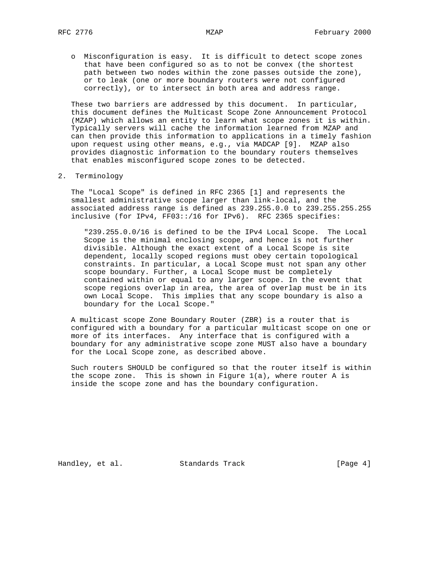o Misconfiguration is easy. It is difficult to detect scope zones that have been configured so as to not be convex (the shortest path between two nodes within the zone passes outside the zone), or to leak (one or more boundary routers were not configured correctly), or to intersect in both area and address range.

 These two barriers are addressed by this document. In particular, this document defines the Multicast Scope Zone Announcement Protocol (MZAP) which allows an entity to learn what scope zones it is within. Typically servers will cache the information learned from MZAP and can then provide this information to applications in a timely fashion upon request using other means, e.g., via MADCAP [9]. MZAP also provides diagnostic information to the boundary routers themselves that enables misconfigured scope zones to be detected.

## 2. Terminology

 The "Local Scope" is defined in RFC 2365 [1] and represents the smallest administrative scope larger than link-local, and the associated address range is defined as 239.255.0.0 to 239.255.255.255 inclusive (for IPv4, FF03::/16 for IPv6). RFC 2365 specifies:

 "239.255.0.0/16 is defined to be the IPv4 Local Scope. The Local Scope is the minimal enclosing scope, and hence is not further divisible. Although the exact extent of a Local Scope is site dependent, locally scoped regions must obey certain topological constraints. In particular, a Local Scope must not span any other scope boundary. Further, a Local Scope must be completely contained within or equal to any larger scope. In the event that scope regions overlap in area, the area of overlap must be in its own Local Scope. This implies that any scope boundary is also a boundary for the Local Scope."

 A multicast scope Zone Boundary Router (ZBR) is a router that is configured with a boundary for a particular multicast scope on one or more of its interfaces. Any interface that is configured with a boundary for any administrative scope zone MUST also have a boundary for the Local Scope zone, as described above.

 Such routers SHOULD be configured so that the router itself is within the scope zone. This is shown in Figure  $1(a)$ , where router A is inside the scope zone and has the boundary configuration.

Handley, et al. Standards Track [Page 4]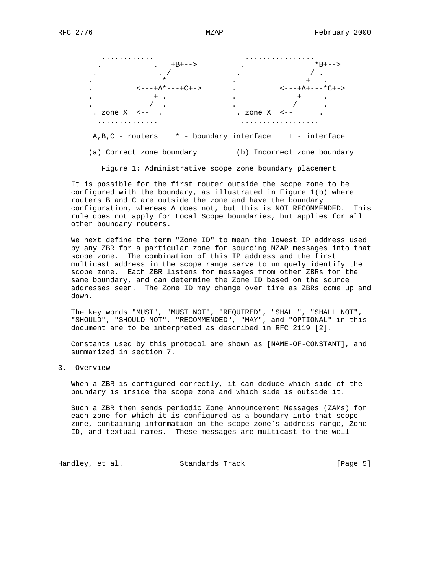

(a) Correct zone boundary (b) Incorrect zone boundary

Figure 1: Administrative scope zone boundary placement

 It is possible for the first router outside the scope zone to be configured with the boundary, as illustrated in Figure 1(b) where routers B and C are outside the zone and have the boundary configuration, whereas A does not, but this is NOT RECOMMENDED. This rule does not apply for Local Scope boundaries, but applies for all other boundary routers.

 We next define the term "Zone ID" to mean the lowest IP address used by any ZBR for a particular zone for sourcing MZAP messages into that scope zone. The combination of this IP address and the first multicast address in the scope range serve to uniquely identify the scope zone. Each ZBR listens for messages from other ZBRs for the same boundary, and can determine the Zone ID based on the source addresses seen. The Zone ID may change over time as ZBRs come up and down.

 The key words "MUST", "MUST NOT", "REQUIRED", "SHALL", "SHALL NOT", "SHOULD", "SHOULD NOT", "RECOMMENDED", "MAY", and "OPTIONAL" in this document are to be interpreted as described in RFC 2119 [2].

 Constants used by this protocol are shown as [NAME-OF-CONSTANT], and summarized in section 7.

3. Overview

 When a ZBR is configured correctly, it can deduce which side of the boundary is inside the scope zone and which side is outside it.

 Such a ZBR then sends periodic Zone Announcement Messages (ZAMs) for each zone for which it is configured as a boundary into that scope zone, containing information on the scope zone's address range, Zone ID, and textual names. These messages are multicast to the well-

Handley, et al. Standards Track [Page 5]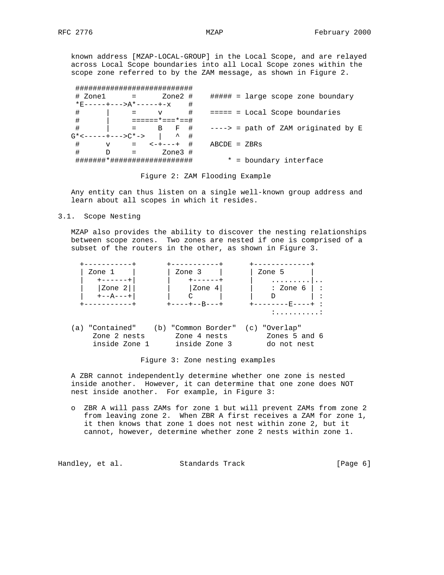known address [MZAP-LOCAL-GROUP] in the Local Scope, and are relayed across Local Scope boundaries into all Local Scope zones within the scope zone referred to by the ZAM message, as shown in Figure 2.

|                                       | +++++++++++++++++     |                          |                                       |
|---------------------------------------|-----------------------|--------------------------|---------------------------------------|
| # Zonel                               |                       | Zone2 #                  | $\#$ #### = large scope zone boundary |
|                                       | *F-----+--->A*----+-x | #                        |                                       |
| #                                     |                       | #<br>$\mathbf v$         | $==== = Local Score boundaries$       |
| #                                     |                       | ======*===*==#           |                                       |
| #                                     |                       | $=$ B F #                | $---> =$ path of ZAM originated by E  |
| $G^*$ < - - - - - + - - - > $C^*$ - > |                       | $\hat{\phantom{a}}$<br># |                                       |
| #<br>$\mathbf v$                      | $\equiv$ $\equiv$     | #<br>$- + - - - +$       | $ABCDE = ZBRS$                        |
| #<br>D                                |                       | Zone3 #                  |                                       |
|                                       |                       |                          | * = boundary interface                |

Figure 2: ZAM Flooding Example

 Any entity can thus listen on a single well-known group address and learn about all scopes in which it resides.

3.1. Scope Nesting

 MZAP also provides the ability to discover the nesting relationships between scope zones. Two zones are nested if one is comprised of a subset of the routers in the other, as shown in Figure 3.



Figure 3: Zone nesting examples

 A ZBR cannot independently determine whether one zone is nested inside another. However, it can determine that one zone does NOT nest inside another. For example, in Figure 3:

 o ZBR A will pass ZAMs for zone 1 but will prevent ZAMs from zone 2 from leaving zone 2. When ZBR A first receives a ZAM for zone 1, it then knows that zone 1 does not nest within zone 2, but it cannot, however, determine whether zone 2 nests within zone 1.

Handley, et al. Standards Track [Page 6]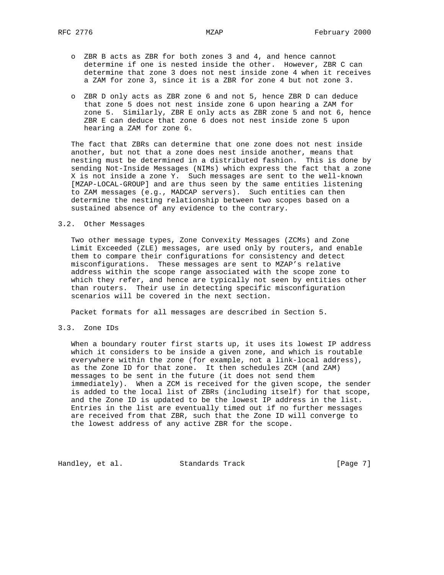- o ZBR B acts as ZBR for both zones 3 and 4, and hence cannot determine if one is nested inside the other. However, ZBR C can determine that zone 3 does not nest inside zone 4 when it receives a ZAM for zone 3, since it is a ZBR for zone 4 but not zone 3.
- o ZBR D only acts as ZBR zone 6 and not 5, hence ZBR D can deduce that zone 5 does not nest inside zone 6 upon hearing a ZAM for zone 5. Similarly, ZBR E only acts as ZBR zone 5 and not 6, hence ZBR E can deduce that zone 6 does not nest inside zone 5 upon hearing a ZAM for zone 6.

 The fact that ZBRs can determine that one zone does not nest inside another, but not that a zone does nest inside another, means that nesting must be determined in a distributed fashion. This is done by sending Not-Inside Messages (NIMs) which express the fact that a zone X is not inside a zone Y. Such messages are sent to the well-known [MZAP-LOCAL-GROUP] and are thus seen by the same entities listening to ZAM messages (e.g., MADCAP servers). Such entities can then determine the nesting relationship between two scopes based on a sustained absence of any evidence to the contrary.

## 3.2. Other Messages

 Two other message types, Zone Convexity Messages (ZCMs) and Zone Limit Exceeded (ZLE) messages, are used only by routers, and enable them to compare their configurations for consistency and detect misconfigurations. These messages are sent to MZAP's relative address within the scope range associated with the scope zone to which they refer, and hence are typically not seen by entities other than routers. Their use in detecting specific misconfiguration scenarios will be covered in the next section.

Packet formats for all messages are described in Section 5.

3.3. Zone IDs

 When a boundary router first starts up, it uses its lowest IP address which it considers to be inside a given zone, and which is routable everywhere within the zone (for example, not a link-local address), as the Zone ID for that zone. It then schedules ZCM (and ZAM) messages to be sent in the future (it does not send them immediately). When a ZCM is received for the given scope, the sender is added to the local list of ZBRs (including itself) for that scope, and the Zone ID is updated to be the lowest IP address in the list. Entries in the list are eventually timed out if no further messages are received from that ZBR, such that the Zone ID will converge to the lowest address of any active ZBR for the scope.

Handley, et al. Standards Track [Page 7]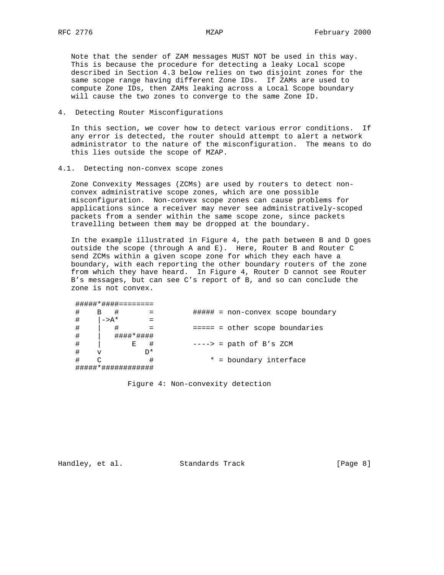Note that the sender of ZAM messages MUST NOT be used in this way. This is because the procedure for detecting a leaky Local scope described in Section 4.3 below relies on two disjoint zones for the same scope range having different Zone IDs. If ZAMs are used to compute Zone IDs, then ZAMs leaking across a Local Scope boundary will cause the two zones to converge to the same Zone ID.

## 4. Detecting Router Misconfigurations

 In this section, we cover how to detect various error conditions. If any error is detected, the router should attempt to alert a network administrator to the nature of the misconfiguration. The means to do this lies outside the scope of MZAP.

### 4.1. Detecting non-convex scope zones

 Zone Convexity Messages (ZCMs) are used by routers to detect non convex administrative scope zones, which are one possible misconfiguration. Non-convex scope zones can cause problems for applications since a receiver may never see administratively-scoped packets from a sender within the same scope zone, since packets travelling between them may be dropped at the boundary.

 In the example illustrated in Figure 4, the path between B and D goes outside the scope (through A and E). Here, Router B and Router C send ZCMs within a given scope zone for which they each have a boundary, with each reporting the other boundary routers of the zone from which they have heard. In Figure 4, Router D cannot see Router B's messages, but can see C's report of B, and so can conclude the zone is not convex.

| ************** |                   |           |    |  |                                   |
|----------------|-------------------|-----------|----|--|-----------------------------------|
| #              | В                 |           |    |  | ##### = non-convex scope boundary |
|                | $\rightarrow A^*$ |           |    |  |                                   |
| #              |                   |           |    |  | $==== = other scope boundaries$   |
| #              |                   | ####*#### |    |  |                                   |
| #              |                   | Е         |    |  | $---> = path of B's ZCM$          |
| #              | v                 |           | ∩* |  |                                   |
| #              |                   |           |    |  | * = boundary interface            |
|                |                   |           |    |  |                                   |

Figure 4: Non-convexity detection

**#############################** 

Handley, et al. Standards Track [Page 8]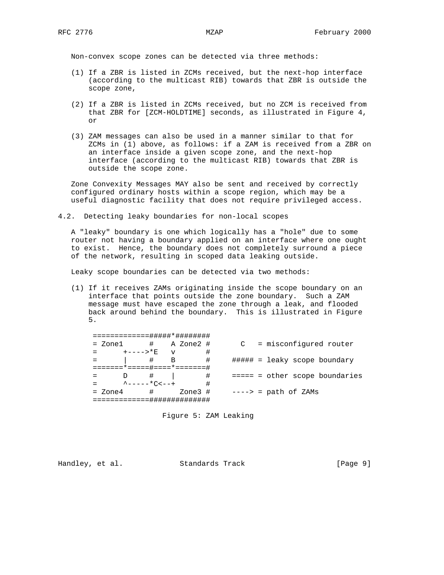Non-convex scope zones can be detected via three methods:

- (1) If a ZBR is listed in ZCMs received, but the next-hop interface (according to the multicast RIB) towards that ZBR is outside the scope zone,
- (2) If a ZBR is listed in ZCMs received, but no ZCM is received from that ZBR for [ZCM-HOLDTIME] seconds, as illustrated in Figure 4, or
- (3) ZAM messages can also be used in a manner similar to that for ZCMs in (1) above, as follows: if a ZAM is received from a ZBR on an interface inside a given scope zone, and the next-hop interface (according to the multicast RIB) towards that ZBR is outside the scope zone.

 Zone Convexity Messages MAY also be sent and received by correctly configured ordinary hosts within a scope region, which may be a useful diagnostic facility that does not require privileged access.

4.2. Detecting leaky boundaries for non-local scopes

 A "leaky" boundary is one which logically has a "hole" due to some router not having a boundary applied on an interface where one ought to exist. Hence, the boundary does not completely surround a piece of the network, resulting in scoped data leaking outside.

Leaky scope boundaries can be detected via two methods:

 (1) If it receives ZAMs originating inside the scope boundary on an interface that points outside the zone boundary. Such a ZAM message must have escaped the zone through a leak, and flooded back around behind the boundary. This is illustrated in Figure 5.

| = Zonel                 | # A Zone2 #                              |         |   |  | C = misconfigured router                |
|-------------------------|------------------------------------------|---------|---|--|-----------------------------------------|
| +---->*E                | $\overline{V}$                           |         | # |  |                                         |
|                         | #<br>B                                   |         | # |  | $\# \# \# \# \# =$ leaky scope boundary |
| ===*=====#====*=======# |                                          |         |   |  |                                         |
|                         |                                          |         | # |  | $==== = other scope boundaries$         |
|                         | $\lambda$ - - - - - $\star$ $\sim$ - - + |         | # |  |                                         |
| $=$ Zone4               | #                                        | Zone3 # |   |  | ----> = path of ZAMs                    |
|                         | ---##########                            |         |   |  |                                         |

Figure 5: ZAM Leaking

Handley, et al. Standards Track [Page 9]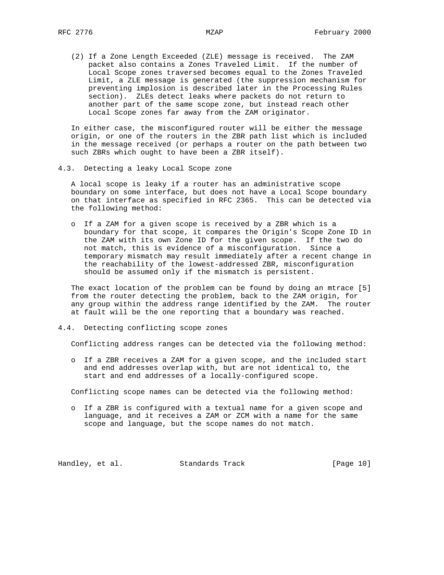(2) If a Zone Length Exceeded (ZLE) message is received. The ZAM packet also contains a Zones Traveled Limit. If the number of Local Scope zones traversed becomes equal to the Zones Traveled Limit, a ZLE message is generated (the suppression mechanism for preventing implosion is described later in the Processing Rules section). ZLEs detect leaks where packets do not return to another part of the same scope zone, but instead reach other Local Scope zones far away from the ZAM originator.

 In either case, the misconfigured router will be either the message origin, or one of the routers in the ZBR path list which is included in the message received (or perhaps a router on the path between two such ZBRs which ought to have been a ZBR itself).

4.3. Detecting a leaky Local Scope zone

 A local scope is leaky if a router has an administrative scope boundary on some interface, but does not have a Local Scope boundary on that interface as specified in RFC 2365. This can be detected via the following method:

 o If a ZAM for a given scope is received by a ZBR which is a boundary for that scope, it compares the Origin's Scope Zone ID in the ZAM with its own Zone ID for the given scope. If the two do not match, this is evidence of a misconfiguration. Since a temporary mismatch may result immediately after a recent change in the reachability of the lowest-addressed ZBR, misconfiguration should be assumed only if the mismatch is persistent.

 The exact location of the problem can be found by doing an mtrace [5] from the router detecting the problem, back to the ZAM origin, for any group within the address range identified by the ZAM. The router at fault will be the one reporting that a boundary was reached.

## 4.4. Detecting conflicting scope zones

Conflicting address ranges can be detected via the following method:

 o If a ZBR receives a ZAM for a given scope, and the included start and end addresses overlap with, but are not identical to, the start and end addresses of a locally-configured scope.

Conflicting scope names can be detected via the following method:

 o If a ZBR is configured with a textual name for a given scope and language, and it receives a ZAM or ZCM with a name for the same scope and language, but the scope names do not match.

Handley, et al. Standards Track [Page 10]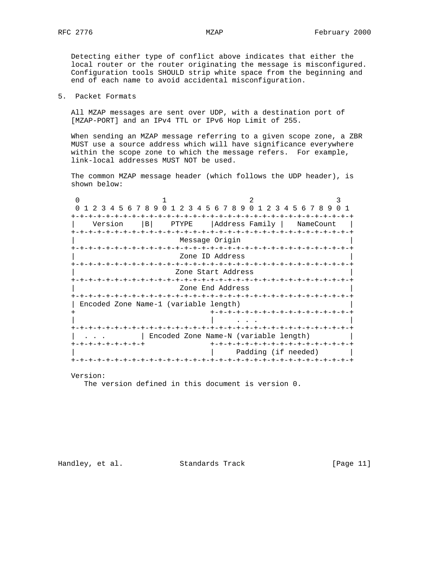Detecting either type of conflict above indicates that either the local router or the router originating the message is misconfigured. Configuration tools SHOULD strip white space from the beginning and end of each name to avoid accidental misconfiguration.

# 5. Packet Formats

 All MZAP messages are sent over UDP, with a destination port of [MZAP-PORT] and an IPv4 TTL or IPv6 Hop Limit of 255.

 When sending an MZAP message referring to a given scope zone, a ZBR MUST use a source address which will have significance everywhere within the scope zone to which the message refers. For example, link-local addresses MUST NOT be used.

 The common MZAP message header (which follows the UDP header), is shown below:

| 1 2 3 4 5 6 7 8 9 0 1 2 3 4 5 6 7 8 9 0 1 2 3 4 5 6 7 8 9 |                          |  |                                |  |  |                                       |  |                                                          |  |  |  |  |                     |  |  |  |
|-----------------------------------------------------------|--------------------------|--|--------------------------------|--|--|---------------------------------------|--|----------------------------------------------------------|--|--|--|--|---------------------|--|--|--|
| Version                                                   |                          |  | $\vert$ B                      |  |  | PTYPE   Address Family                |  |                                                          |  |  |  |  | NameCount           |  |  |  |
|                                                           | -+-+-+-+-+-+-+-+-+-+-+-+ |  |                                |  |  | Message Origin                        |  | -+-+-+-+-+-+-+-+-+-+-+-+-+-+-+-                          |  |  |  |  |                     |  |  |  |
|                                                           |                          |  |                                |  |  | Zone ID Address                       |  |                                                          |  |  |  |  |                     |  |  |  |
|                                                           |                          |  |                                |  |  | Zone Start Address                    |  |                                                          |  |  |  |  |                     |  |  |  |
|                                                           |                          |  | -+-+-+-+-+-+-+-+-+-+-+-+-+-+-+ |  |  | Zone End Address                      |  |                                                          |  |  |  |  | -+-+-+-+-+-+-+-+-   |  |  |  |
| Encoded Zone Name-1 (variable length)                     |                          |  |                                |  |  |                                       |  |                                                          |  |  |  |  |                     |  |  |  |
|                                                           |                          |  |                                |  |  |                                       |  | +-+-+-+-+-+-+-+-+-+-+-+-+-+-+-+                          |  |  |  |  |                     |  |  |  |
|                                                           |                          |  |                                |  |  | Encoded Zone Name-N (variable length) |  | -+-+-+-+-+-+-+-+-+-+-+-+-+-+                             |  |  |  |  |                     |  |  |  |
| -+-+-+-+-+-+-+-+                                          |                          |  |                                |  |  |                                       |  | +-+-+-+-+-+-+-+-+-+-+-+-+-+-+-+<br>+-+-+-+-+-+-+-+-+-+-+ |  |  |  |  | Padding (if needed) |  |  |  |
|                                                           |                          |  |                                |  |  |                                       |  |                                                          |  |  |  |  |                     |  |  |  |

Version:

The version defined in this document is version 0.

Handley, et al. Standards Track [Page 11]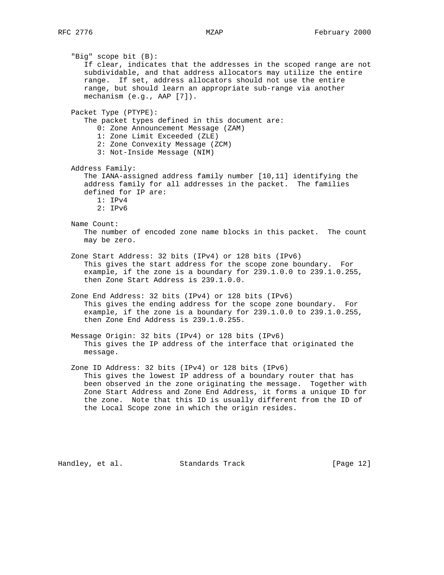"Big" scope bit (B): If clear, indicates that the addresses in the scoped range are not subdividable, and that address allocators may utilize the entire range. If set, address allocators should not use the entire range, but should learn an appropriate sub-range via another mechanism (e.g., AAP [7]). Packet Type (PTYPE): The packet types defined in this document are: 0: Zone Announcement Message (ZAM) 1: Zone Limit Exceeded (ZLE) 2: Zone Convexity Message (ZCM) 3: Not-Inside Message (NIM) Address Family: The IANA-assigned address family number [10,11] identifying the address family for all addresses in the packet. The families defined for IP are: 1: IPv4 2: IPv6 Name Count: The number of encoded zone name blocks in this packet. The count may be zero. Zone Start Address: 32 bits (IPv4) or 128 bits (IPv6) This gives the start address for the scope zone boundary. For example, if the zone is a boundary for 239.1.0.0 to 239.1.0.255, then Zone Start Address is 239.1.0.0. Zone End Address: 32 bits (IPv4) or 128 bits (IPv6) This gives the ending address for the scope zone boundary. For example, if the zone is a boundary for 239.1.0.0 to 239.1.0.255, then Zone End Address is 239.1.0.255. Message Origin: 32 bits (IPv4) or 128 bits (IPv6) This gives the IP address of the interface that originated the message. Zone ID Address: 32 bits (IPv4) or 128 bits (IPv6) This gives the lowest IP address of a boundary router that has been observed in the zone originating the message. Together with Zone Start Address and Zone End Address, it forms a unique ID for the zone. Note that this ID is usually different from the ID of the Local Scope zone in which the origin resides.

Handley, et al. Standards Track [Page 12]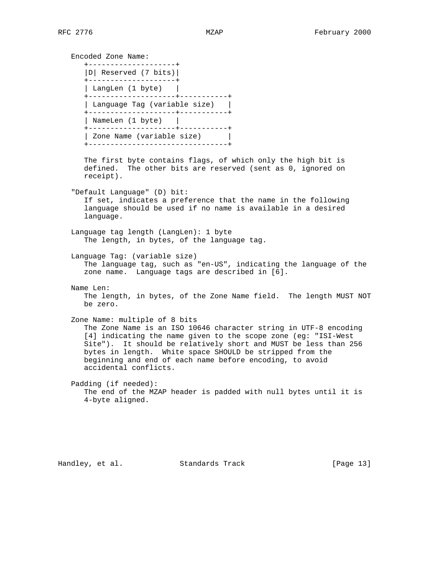Encoded Zone Name: +--------------------+ |D| Reserved (7 bits)| +--------------------+ | LangLen (1 byte) | +--------------------+-----------+ | Language Tag (variable size) | +--------------------+-----------+ | NameLen (1 byte) | +--------------------+-----------+ | Zone Name (variable size) | +--------------------------------+ The first byte contains flags, of which only the high bit is defined. The other bits are reserved (sent as 0, ignored on receipt). "Default Language" (D) bit: If set, indicates a preference that the name in the following language should be used if no name is available in a desired language. Language tag length (LangLen): 1 byte The length, in bytes, of the language tag. Language Tag: (variable size) The language tag, such as "en-US", indicating the language of the zone name. Language tags are described in [6]. Name Len: The length, in bytes, of the Zone Name field. The length MUST NOT be zero. Zone Name: multiple of 8 bits The Zone Name is an ISO 10646 character string in UTF-8 encoding [4] indicating the name given to the scope zone (eg: "ISI-West Site"). It should be relatively short and MUST be less than 256 bytes in length. White space SHOULD be stripped from the beginning and end of each name before encoding, to avoid accidental conflicts. Padding (if needed): The end of the MZAP header is padded with null bytes until it is 4-byte aligned.

Handley, et al. Standards Track [Page 13]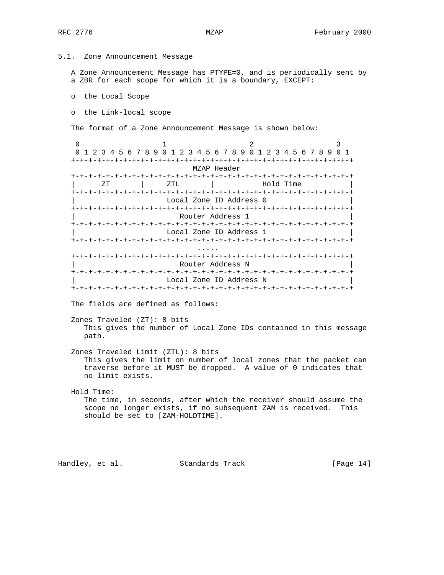5.1. Zone Announcement Message

 A Zone Announcement Message has PTYPE=0, and is periodically sent by a ZBR for each scope for which it is a boundary, EXCEPT:

o the Local Scope

o the Link-local scope

The format of a Zone Announcement Message is shown below:

0  $1$  2 3 0 1 2 3 4 5 6 7 8 9 0 1 2 3 4 5 6 7 8 9 0 1 2 3 4 5 6 7 8 9 0 1 +-+-+-+-+-+-+-+-+-+-+-+-+-+-+-+-+-+-+-+-+-+-+-+-+-+-+-+-+-+-+-+-+ MZAP Header +-+-+-+-+-+-+-+-+-+-+-+-+-+-+-+-+-+-+-+-+-+-+-+-+-+-+-+-+-+-+-+-+  $ZT$  |  $ZTL$  | +-+-+-+-+-+-+-+-+-+-+-+-+-+-+-+-+-+-+-+-+-+-+-+-+-+-+-+-+-+-+-+-+ Local Zone ID Address 0 +-+-+-+-+-+-+-+-+-+-+-+-+-+-+-+-+-+-+-+-+-+-+-+-+-+-+-+-+-+-+-+-+ Router Address 1 +-+-+-+-+-+-+-+-+-+-+-+-+-+-+-+-+-+-+-+-+-+-+-+-+-+-+-+-+-+-+-+-+ Local Zone ID Address 1 +-+-+-+-+-+-+-+-+-+-+-+-+-+-+-+-+-+-+-+-+-+-+-+-+-+-+-+-+-+-+-+-+ ..... +-+-+-+-+-+-+-+-+-+-+-+-+-+-+-+-+-+-+-+-+-+-+-+-+-+-+-+-+-+-+-+-+ | Router Address N | +-+-+-+-+-+-+-+-+-+-+-+-+-+-+-+-+-+-+-+-+-+-+-+-+-+-+-+-+-+-+-+-+ Local Zone ID Address N +-+-+-+-+-+-+-+-+-+-+-+-+-+-+-+-+-+-+-+-+-+-+-+-+-+-+-+-+-+-+-+-+ The fields are defined as follows:

 Zones Traveled (ZT): 8 bits This gives the number of Local Zone IDs contained in this message path.

 Zones Traveled Limit (ZTL): 8 bits This gives the limit on number of local zones that the packet can traverse before it MUST be dropped. A value of 0 indicates that no limit exists.

 Hold Time: The time, in seconds, after which the receiver should assume the scope no longer exists, if no subsequent ZAM is received. This should be set to [ZAM-HOLDTIME].

Handley, et al. Standards Track [Page 14]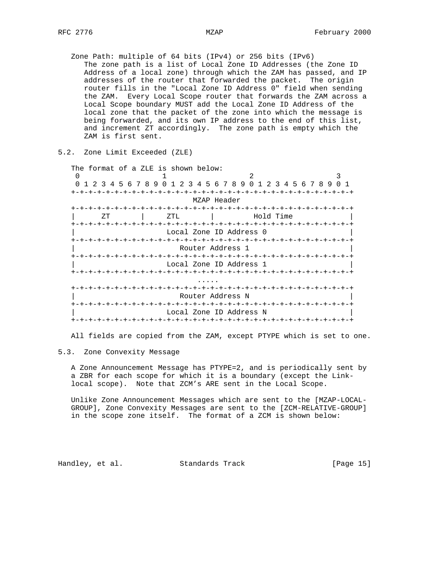Zone Path: multiple of 64 bits (IPv4) or 256 bits (IPv6) The zone path is a list of Local Zone ID Addresses (the Zone ID Address of a local zone) through which the ZAM has passed, and IP addresses of the router that forwarded the packet. The origin router fills in the "Local Zone ID Address 0" field when sending the ZAM. Every Local Scope router that forwards the ZAM across a Local Scope boundary MUST add the Local Zone ID Address of the local zone that the packet of the zone into which the message is being forwarded, and its own IP address to the end of this list, and increment ZT accordingly. The zone path is empty which the ZAM is first sent.

|  |  |  | 5.2. Zone Limit Exceeded (ZLE) |  |
|--|--|--|--------------------------------|--|
|--|--|--|--------------------------------|--|

| The format of a ZLE is shown below: |     |                         |             |  |           |  |  |  |       |  |
|-------------------------------------|-----|-------------------------|-------------|--|-----------|--|--|--|-------|--|
| ∩                                   |     |                         |             |  |           |  |  |  | 3     |  |
| 0 1 2 3 4 5 6 7 8 9 0 1             |     | 234567890123456789      |             |  |           |  |  |  | $0-1$ |  |
|                                     |     |                         |             |  |           |  |  |  |       |  |
|                                     |     |                         | MZAP Header |  |           |  |  |  |       |  |
|                                     |     |                         |             |  |           |  |  |  |       |  |
| ZΤ                                  | ZTL |                         |             |  | Hold Time |  |  |  |       |  |
|                                     |     |                         |             |  |           |  |  |  |       |  |
|                                     |     | Local Zone ID Address 0 |             |  |           |  |  |  |       |  |
|                                     |     |                         |             |  |           |  |  |  |       |  |
|                                     |     | Router Address 1        |             |  |           |  |  |  |       |  |
|                                     |     |                         |             |  |           |  |  |  |       |  |
|                                     |     | Local Zone ID Address 1 |             |  |           |  |  |  |       |  |
|                                     |     |                         |             |  |           |  |  |  |       |  |
|                                     |     |                         |             |  |           |  |  |  |       |  |
|                                     |     |                         |             |  |           |  |  |  |       |  |
|                                     |     | Router Address N        |             |  |           |  |  |  |       |  |
|                                     |     |                         |             |  |           |  |  |  |       |  |
|                                     |     | Local Zone ID Address N |             |  |           |  |  |  |       |  |
|                                     |     |                         |             |  |           |  |  |  |       |  |

All fields are copied from the ZAM, except PTYPE which is set to one.

# 5.3. Zone Convexity Message

 A Zone Announcement Message has PTYPE=2, and is periodically sent by a ZBR for each scope for which it is a boundary (except the Link local scope). Note that ZCM's ARE sent in the Local Scope.

 Unlike Zone Announcement Messages which are sent to the [MZAP-LOCAL- GROUP], Zone Convexity Messages are sent to the [ZCM-RELATIVE-GROUP] in the scope zone itself. The format of a ZCM is shown below:

Handley, et al. Standards Track [Page 15]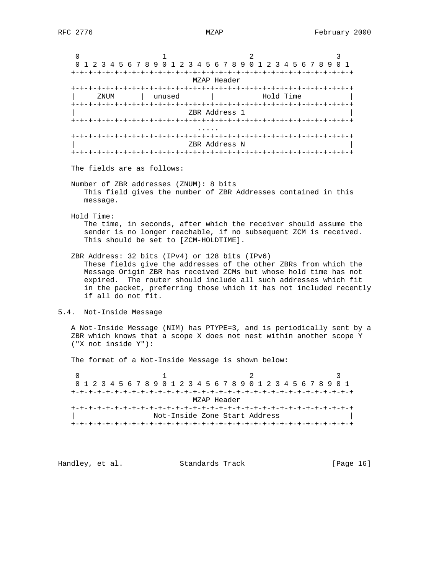0  $1$  2 3 0 1 2 3 4 5 6 7 8 9 0 1 2 3 4 5 6 7 8 9 0 1 2 3 4 5 6 7 8 9 0 1 +-+-+-+-+-+-+-+-+-+-+-+-+-+-+-+-+-+-+-+-+-+-+-+-+-+-+-+-+-+-+-+-+ MZAP Header +-+-+-+-+-+-+-+-+-+-+-+-+-+-+-+-+-+-+-+-+-+-+-+-+-+-+-+-+-+-+-+-+ | ZNUM | unused | Hold Time +-+-+-+-+-+-+-+-+-+-+-+-+-+-+-+-+-+-+-+-+-+-+-+-+-+-+-+-+-+-+-+-+ | ZBR Address 1 | +-+-+-+-+-+-+-+-+-+-+-+-+-+-+-+-+-+-+-+-+-+-+-+-+-+-+-+-+-+-+-+-+ ..... +-+-+-+-+-+-+-+-+-+-+-+-+-+-+-+-+-+-+-+-+-+-+-+-+-+-+-+-+-+-+-+-+ | ZBR Address N | +-+-+-+-+-+-+-+-+-+-+-+-+-+-+-+-+-+-+-+-+-+-+-+-+-+-+-+-+-+-+-+-+ The fields are as follows: Number of ZBR addresses (ZNUM): 8 bits This field gives the number of ZBR Addresses contained in this message. Hold Time: The time, in seconds, after which the receiver should assume the sender is no longer reachable, if no subsequent ZCM is received. This should be set to [ZCM-HOLDTIME]. ZBR Address: 32 bits (IPv4) or 128 bits (IPv6) These fields give the addresses of the other ZBRs from which the Message Origin ZBR has received ZCMs but whose hold time has not expired. The router should include all such addresses which fit in the packet, preferring those which it has not included recently if all do not fit. 5.4. Not-Inside Message A Not-Inside Message (NIM) has PTYPE=3, and is periodically sent by a ZBR which knows that a scope X does not nest within another scope Y ("X not inside Y"): The format of a Not-Inside Message is shown below: 0  $1$  2 3

 0 1 2 3 4 5 6 7 8 9 0 1 2 3 4 5 6 7 8 9 0 1 2 3 4 5 6 7 8 9 0 1 +-+-+-+-+-+-+-+-+-+-+-+-+-+-+-+-+-+-+-+-+-+-+-+-+-+-+-+-+-+-+-+-+ MZAP Header +-+-+-+-+-+-+-+-+-+-+-+-+-+-+-+-+-+-+-+-+-+-+-+-+-+-+-+-+-+-+-+-+ | Not-Inside Zone Start Address | +-+-+-+-+-+-+-+-+-+-+-+-+-+-+-+-+-+-+-+-+-+-+-+-+-+-+-+-+-+-+-+-+

Handley, et al. Standards Track [Page 16]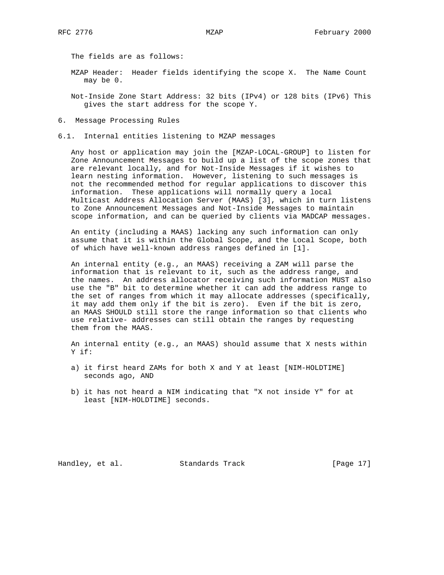The fields are as follows:

- MZAP Header: Header fields identifying the scope X. The Name Count may be 0.
- Not-Inside Zone Start Address: 32 bits (IPv4) or 128 bits (IPv6) This gives the start address for the scope Y.
- 6. Message Processing Rules
- 6.1. Internal entities listening to MZAP messages

 Any host or application may join the [MZAP-LOCAL-GROUP] to listen for Zone Announcement Messages to build up a list of the scope zones that are relevant locally, and for Not-Inside Messages if it wishes to learn nesting information. However, listening to such messages is not the recommended method for regular applications to discover this information. These applications will normally query a local Multicast Address Allocation Server (MAAS) [3], which in turn listens to Zone Announcement Messages and Not-Inside Messages to maintain scope information, and can be queried by clients via MADCAP messages.

 An entity (including a MAAS) lacking any such information can only assume that it is within the Global Scope, and the Local Scope, both of which have well-known address ranges defined in [1].

 An internal entity (e.g., an MAAS) receiving a ZAM will parse the information that is relevant to it, such as the address range, and the names. An address allocator receiving such information MUST also use the "B" bit to determine whether it can add the address range to the set of ranges from which it may allocate addresses (specifically, it may add them only if the bit is zero). Even if the bit is zero, an MAAS SHOULD still store the range information so that clients who use relative- addresses can still obtain the ranges by requesting them from the MAAS.

 An internal entity (e.g., an MAAS) should assume that X nests within Y if:

- a) it first heard ZAMs for both X and Y at least [NIM-HOLDTIME] seconds ago, AND
- b) it has not heard a NIM indicating that "X not inside Y" for at least [NIM-HOLDTIME] seconds.

Handley, et al. Standards Track [Page 17]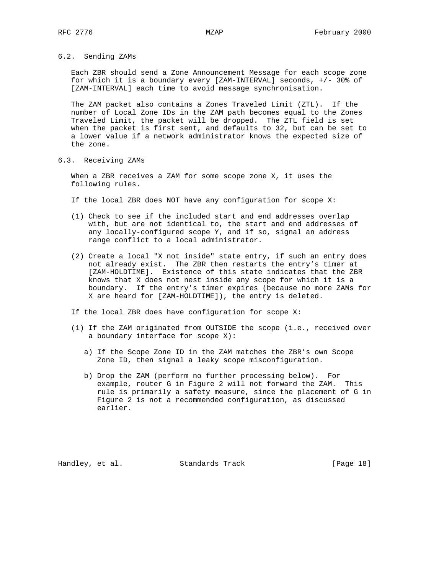6.2. Sending ZAMs

 Each ZBR should send a Zone Announcement Message for each scope zone for which it is a boundary every [ZAM-INTERVAL] seconds, +/- 30% of [ZAM-INTERVAL] each time to avoid message synchronisation.

 The ZAM packet also contains a Zones Traveled Limit (ZTL). If the number of Local Zone IDs in the ZAM path becomes equal to the Zones Traveled Limit, the packet will be dropped. The ZTL field is set when the packet is first sent, and defaults to 32, but can be set to a lower value if a network administrator knows the expected size of the zone.

6.3. Receiving ZAMs

 When a ZBR receives a ZAM for some scope zone X, it uses the following rules.

If the local ZBR does NOT have any configuration for scope X:

- (1) Check to see if the included start and end addresses overlap with, but are not identical to, the start and end addresses of any locally-configured scope Y, and if so, signal an address range conflict to a local administrator.
- (2) Create a local "X not inside" state entry, if such an entry does not already exist. The ZBR then restarts the entry's timer at [ZAM-HOLDTIME]. Existence of this state indicates that the ZBR knows that X does not nest inside any scope for which it is a boundary. If the entry's timer expires (because no more ZAMs for X are heard for [ZAM-HOLDTIME]), the entry is deleted.

If the local ZBR does have configuration for scope X:

- (1) If the ZAM originated from OUTSIDE the scope (i.e., received over a boundary interface for scope X):
	- a) If the Scope Zone ID in the ZAM matches the ZBR's own Scope Zone ID, then signal a leaky scope misconfiguration.
	- b) Drop the ZAM (perform no further processing below). For example, router G in Figure 2 will not forward the ZAM. This rule is primarily a safety measure, since the placement of G in Figure 2 is not a recommended configuration, as discussed earlier.

Handley, et al. Standards Track [Page 18]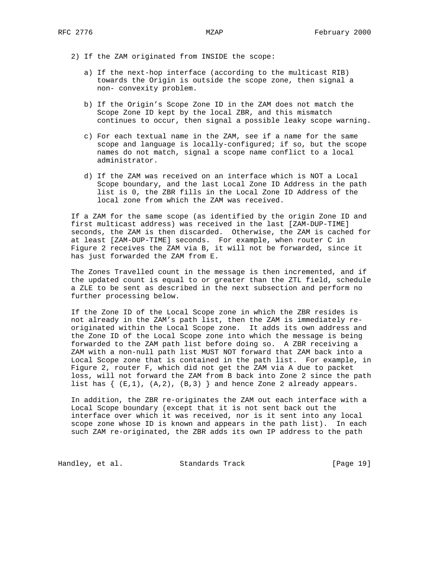- 2) If the ZAM originated from INSIDE the scope:
	- a) If the next-hop interface (according to the multicast RIB) towards the Origin is outside the scope zone, then signal a non- convexity problem.
	- b) If the Origin's Scope Zone ID in the ZAM does not match the Scope Zone ID kept by the local ZBR, and this mismatch continues to occur, then signal a possible leaky scope warning.
	- c) For each textual name in the ZAM, see if a name for the same scope and language is locally-configured; if so, but the scope names do not match, signal a scope name conflict to a local administrator.
	- d) If the ZAM was received on an interface which is NOT a Local Scope boundary, and the last Local Zone ID Address in the path list is 0, the ZBR fills in the Local Zone ID Address of the local zone from which the ZAM was received.

 If a ZAM for the same scope (as identified by the origin Zone ID and first multicast address) was received in the last [ZAM-DUP-TIME] seconds, the ZAM is then discarded. Otherwise, the ZAM is cached for at least [ZAM-DUP-TIME] seconds. For example, when router C in Figure 2 receives the ZAM via B, it will not be forwarded, since it has just forwarded the ZAM from E.

 The Zones Travelled count in the message is then incremented, and if the updated count is equal to or greater than the ZTL field, schedule a ZLE to be sent as described in the next subsection and perform no further processing below.

 If the Zone ID of the Local Scope zone in which the ZBR resides is not already in the ZAM's path list, then the ZAM is immediately re originated within the Local Scope zone. It adds its own address and the Zone ID of the Local Scope zone into which the message is being forwarded to the ZAM path list before doing so. A ZBR receiving a ZAM with a non-null path list MUST NOT forward that ZAM back into a Local Scope zone that is contained in the path list. For example, in Figure 2, router F, which did not get the ZAM via A due to packet loss, will not forward the ZAM from B back into Zone 2 since the path list has  $\{ (E,1), (A,2), (B,3) \}$  and hence Zone 2 already appears.

 In addition, the ZBR re-originates the ZAM out each interface with a Local Scope boundary (except that it is not sent back out the interface over which it was received, nor is it sent into any local scope zone whose ID is known and appears in the path list). In each such ZAM re-originated, the ZBR adds its own IP address to the path

Handley, et al. Standards Track [Page 19]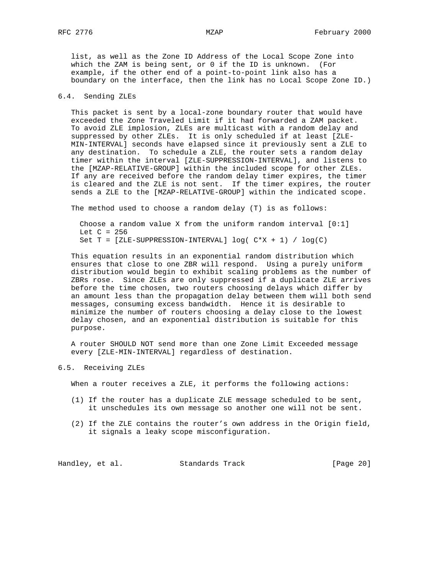list, as well as the Zone ID Address of the Local Scope Zone into which the ZAM is being sent, or 0 if the ID is unknown. (For example, if the other end of a point-to-point link also has a boundary on the interface, then the link has no Local Scope Zone ID.)

# 6.4. Sending ZLEs

 This packet is sent by a local-zone boundary router that would have exceeded the Zone Traveled Limit if it had forwarded a ZAM packet. To avoid ZLE implosion, ZLEs are multicast with a random delay and suppressed by other ZLEs. It is only scheduled if at least [ZLE- MIN-INTERVAL] seconds have elapsed since it previously sent a ZLE to any destination. To schedule a ZLE, the router sets a random delay timer within the interval [ZLE-SUPPRESSION-INTERVAL], and listens to the [MZAP-RELATIVE-GROUP] within the included scope for other ZLEs. If any are received before the random delay timer expires, the timer is cleared and the ZLE is not sent. If the timer expires, the router sends a ZLE to the [MZAP-RELATIVE-GROUP] within the indicated scope.

The method used to choose a random delay (T) is as follows:

 Choose a random value X from the uniform random interval [0:1] Let  $C = 256$ Set  $T = [ZLE-SUPPRESSION-INTERVAL}]$  log( $C*X + 1$ ) / log(C)

 This equation results in an exponential random distribution which ensures that close to one ZBR will respond. Using a purely uniform distribution would begin to exhibit scaling problems as the number of ZBRs rose. Since ZLEs are only suppressed if a duplicate ZLE arrives before the time chosen, two routers choosing delays which differ by an amount less than the propagation delay between them will both send messages, consuming excess bandwidth. Hence it is desirable to minimize the number of routers choosing a delay close to the lowest delay chosen, and an exponential distribution is suitable for this purpose.

 A router SHOULD NOT send more than one Zone Limit Exceeded message every [ZLE-MIN-INTERVAL] regardless of destination.

# 6.5. Receiving ZLEs

When a router receives a ZLE, it performs the following actions:

- (1) If the router has a duplicate ZLE message scheduled to be sent, it unschedules its own message so another one will not be sent.
- (2) If the ZLE contains the router's own address in the Origin field, it signals a leaky scope misconfiguration.

Handley, et al. Standards Track [Page 20]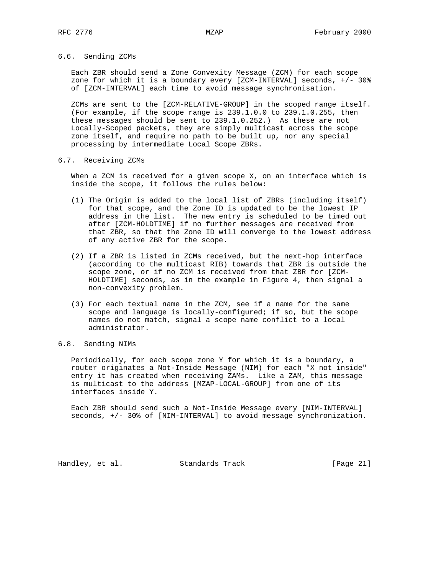# 6.6. Sending ZCMs

 Each ZBR should send a Zone Convexity Message (ZCM) for each scope zone for which it is a boundary every [ZCM-INTERVAL] seconds, +/- 30% of [ZCM-INTERVAL] each time to avoid message synchronisation.

 ZCMs are sent to the [ZCM-RELATIVE-GROUP] in the scoped range itself. (For example, if the scope range is 239.1.0.0 to 239.1.0.255, then these messages should be sent to 239.1.0.252.) As these are not Locally-Scoped packets, they are simply multicast across the scope zone itself, and require no path to be built up, nor any special processing by intermediate Local Scope ZBRs.

## 6.7. Receiving ZCMs

 When a ZCM is received for a given scope X, on an interface which is inside the scope, it follows the rules below:

- (1) The Origin is added to the local list of ZBRs (including itself) for that scope, and the Zone ID is updated to be the lowest IP address in the list. The new entry is scheduled to be timed out after [ZCM-HOLDTIME] if no further messages are received from that ZBR, so that the Zone ID will converge to the lowest address of any active ZBR for the scope.
- (2) If a ZBR is listed in ZCMs received, but the next-hop interface (according to the multicast RIB) towards that ZBR is outside the scope zone, or if no ZCM is received from that ZBR for [ZCM- HOLDTIME] seconds, as in the example in Figure 4, then signal a non-convexity problem.
- (3) For each textual name in the ZCM, see if a name for the same scope and language is locally-configured; if so, but the scope names do not match, signal a scope name conflict to a local administrator.

# 6.8. Sending NIMs

 Periodically, for each scope zone Y for which it is a boundary, a router originates a Not-Inside Message (NIM) for each "X not inside" entry it has created when receiving ZAMs. Like a ZAM, this message is multicast to the address [MZAP-LOCAL-GROUP] from one of its interfaces inside Y.

 Each ZBR should send such a Not-Inside Message every [NIM-INTERVAL] seconds, +/- 30% of [NIM-INTERVAL] to avoid message synchronization.

Handley, et al. Standards Track [Page 21]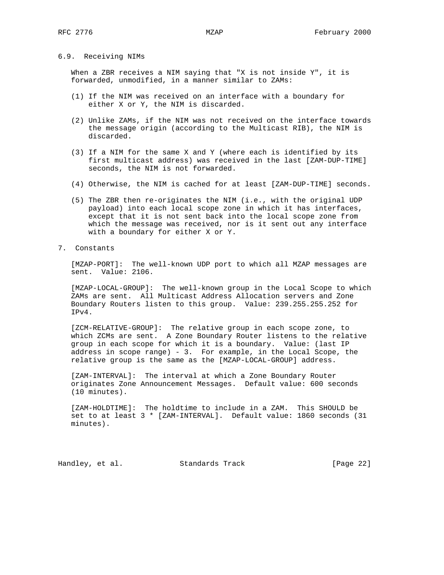# 6.9. Receiving NIMs

 When a ZBR receives a NIM saying that "X is not inside Y", it is forwarded, unmodified, in a manner similar to ZAMs:

- (1) If the NIM was received on an interface with a boundary for either X or Y, the NIM is discarded.
- (2) Unlike ZAMs, if the NIM was not received on the interface towards the message origin (according to the Multicast RIB), the NIM is discarded.
- (3) If a NIM for the same X and Y (where each is identified by its first multicast address) was received in the last [ZAM-DUP-TIME] seconds, the NIM is not forwarded.
- (4) Otherwise, the NIM is cached for at least [ZAM-DUP-TIME] seconds.
- (5) The ZBR then re-originates the NIM (i.e., with the original UDP payload) into each local scope zone in which it has interfaces, except that it is not sent back into the local scope zone from which the message was received, nor is it sent out any interface with a boundary for either X or Y.
- 7. Constants

 [MZAP-PORT]: The well-known UDP port to which all MZAP messages are sent. Value: 2106.

 [MZAP-LOCAL-GROUP]: The well-known group in the Local Scope to which ZAMs are sent. All Multicast Address Allocation servers and Zone Boundary Routers listen to this group. Value: 239.255.255.252 for IPv4.

 [ZCM-RELATIVE-GROUP]: The relative group in each scope zone, to which ZCMs are sent. A Zone Boundary Router listens to the relative group in each scope for which it is a boundary. Value: (last IP address in scope range) - 3. For example, in the Local Scope, the relative group is the same as the [MZAP-LOCAL-GROUP] address.

 [ZAM-INTERVAL]: The interval at which a Zone Boundary Router originates Zone Announcement Messages. Default value: 600 seconds (10 minutes).

 [ZAM-HOLDTIME]: The holdtime to include in a ZAM. This SHOULD be set to at least 3 \* [ZAM-INTERVAL]. Default value: 1860 seconds (31 minutes).

Handley, et al. Standards Track [Page 22]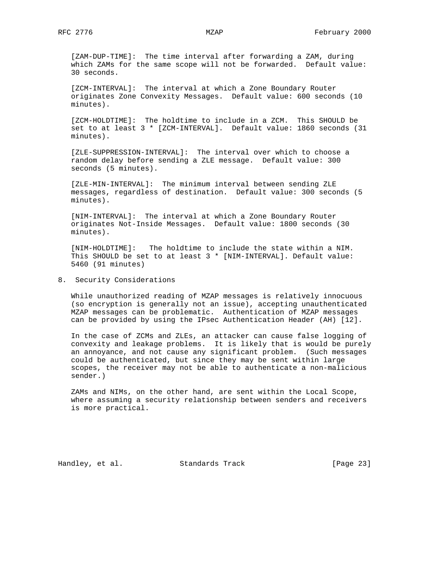[ZAM-DUP-TIME]: The time interval after forwarding a ZAM, during which ZAMs for the same scope will not be forwarded. Default value: 30 seconds.

 [ZCM-INTERVAL]: The interval at which a Zone Boundary Router originates Zone Convexity Messages. Default value: 600 seconds (10 minutes).

 [ZCM-HOLDTIME]: The holdtime to include in a ZCM. This SHOULD be set to at least 3 \* [ZCM-INTERVAL]. Default value: 1860 seconds (31 minutes).

 [ZLE-SUPPRESSION-INTERVAL]: The interval over which to choose a random delay before sending a ZLE message. Default value: 300 seconds (5 minutes).

 [ZLE-MIN-INTERVAL]: The minimum interval between sending ZLE messages, regardless of destination. Default value: 300 seconds (5 minutes).

 [NIM-INTERVAL]: The interval at which a Zone Boundary Router originates Not-Inside Messages. Default value: 1800 seconds (30 minutes).

 [NIM-HOLDTIME]: The holdtime to include the state within a NIM. This SHOULD be set to at least 3 \* [NIM-INTERVAL]. Default value: 5460 (91 minutes)

8. Security Considerations

 While unauthorized reading of MZAP messages is relatively innocuous (so encryption is generally not an issue), accepting unauthenticated MZAP messages can be problematic. Authentication of MZAP messages can be provided by using the IPsec Authentication Header (AH) [12].

 In the case of ZCMs and ZLEs, an attacker can cause false logging of convexity and leakage problems. It is likely that is would be purely an annoyance, and not cause any significant problem. (Such messages could be authenticated, but since they may be sent within large scopes, the receiver may not be able to authenticate a non-malicious sender.)

 ZAMs and NIMs, on the other hand, are sent within the Local Scope, where assuming a security relationship between senders and receivers is more practical.

Handley, et al. Standards Track [Page 23]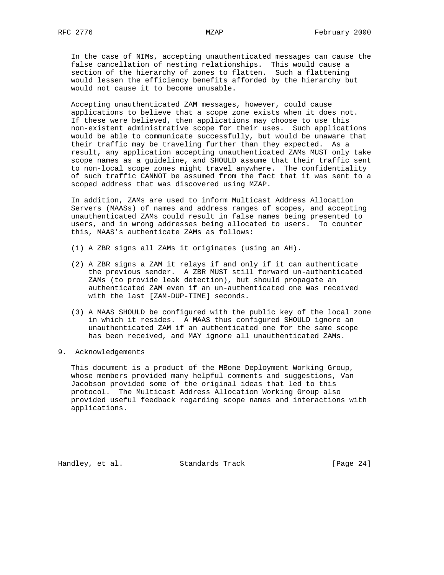In the case of NIMs, accepting unauthenticated messages can cause the false cancellation of nesting relationships. This would cause a section of the hierarchy of zones to flatten. Such a flattening would lessen the efficiency benefits afforded by the hierarchy but would not cause it to become unusable.

 Accepting unauthenticated ZAM messages, however, could cause applications to believe that a scope zone exists when it does not. If these were believed, then applications may choose to use this non-existent administrative scope for their uses. Such applications would be able to communicate successfully, but would be unaware that their traffic may be traveling further than they expected. As a result, any application accepting unauthenticated ZAMs MUST only take scope names as a guideline, and SHOULD assume that their traffic sent to non-local scope zones might travel anywhere. The confidentiality of such traffic CANNOT be assumed from the fact that it was sent to a scoped address that was discovered using MZAP.

 In addition, ZAMs are used to inform Multicast Address Allocation Servers (MAASs) of names and address ranges of scopes, and accepting unauthenticated ZAMs could result in false names being presented to users, and in wrong addresses being allocated to users. To counter this, MAAS's authenticate ZAMs as follows:

- (1) A ZBR signs all ZAMs it originates (using an AH).
- (2) A ZBR signs a ZAM it relays if and only if it can authenticate the previous sender. A ZBR MUST still forward un-authenticated ZAMs (to provide leak detection), but should propagate an authenticated ZAM even if an un-authenticated one was received with the last [ZAM-DUP-TIME] seconds.
- (3) A MAAS SHOULD be configured with the public key of the local zone in which it resides. A MAAS thus configured SHOULD ignore an unauthenticated ZAM if an authenticated one for the same scope has been received, and MAY ignore all unauthenticated ZAMs.
- 9. Acknowledgements

 This document is a product of the MBone Deployment Working Group, whose members provided many helpful comments and suggestions, Van Jacobson provided some of the original ideas that led to this protocol. The Multicast Address Allocation Working Group also provided useful feedback regarding scope names and interactions with applications.

Handley, et al. Standards Track [Page 24]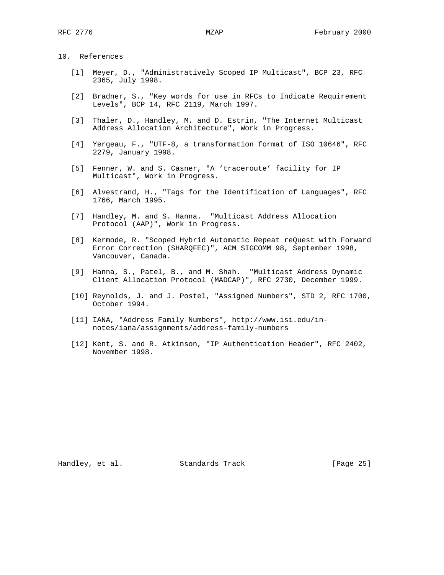10. References

- [1] Meyer, D., "Administratively Scoped IP Multicast", BCP 23, RFC 2365, July 1998.
- [2] Bradner, S., "Key words for use in RFCs to Indicate Requirement Levels", BCP 14, RFC 2119, March 1997.
- [3] Thaler, D., Handley, M. and D. Estrin, "The Internet Multicast Address Allocation Architecture", Work in Progress.
- [4] Yergeau, F., "UTF-8, a transformation format of ISO 10646", RFC 2279, January 1998.
- [5] Fenner, W. and S. Casner, "A 'traceroute' facility for IP Multicast", Work in Progress.
- [6] Alvestrand, H., "Tags for the Identification of Languages", RFC 1766, March 1995.
- [7] Handley, M. and S. Hanna. "Multicast Address Allocation Protocol (AAP)", Work in Progress.
- [8] Kermode, R. "Scoped Hybrid Automatic Repeat reQuest with Forward Error Correction (SHARQFEC)", ACM SIGCOMM 98, September 1998, Vancouver, Canada.
- [9] Hanna, S., Patel, B., and M. Shah. "Multicast Address Dynamic Client Allocation Protocol (MADCAP)", RFC 2730, December 1999.
- [10] Reynolds, J. and J. Postel, "Assigned Numbers", STD 2, RFC 1700, October 1994.
- [11] IANA, "Address Family Numbers", http://www.isi.edu/in notes/iana/assignments/address-family-numbers
- [12] Kent, S. and R. Atkinson, "IP Authentication Header", RFC 2402, November 1998.

Handley, et al. Standards Track [Page 25]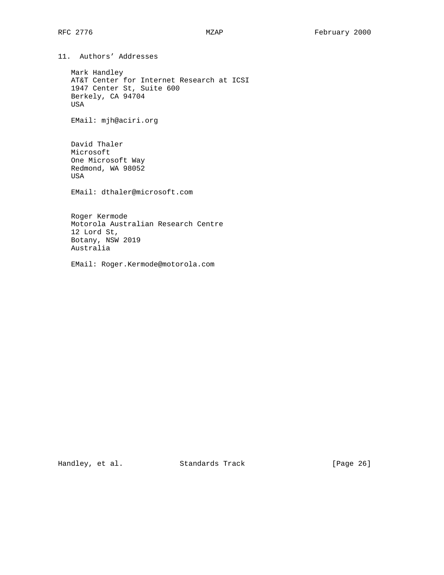11. Authors' Addresses

 Mark Handley AT&T Center for Internet Research at ICSI 1947 Center St, Suite 600 Berkely, CA 94704 USA

EMail: mjh@aciri.org

 David Thaler Microsoft One Microsoft Way Redmond, WA 98052 USA

EMail: dthaler@microsoft.com

 Roger Kermode Motorola Australian Research Centre 12 Lord St, Botany, NSW 2019 Australia

EMail: Roger.Kermode@motorola.com

Handley, et al. Standards Track [Page 26]